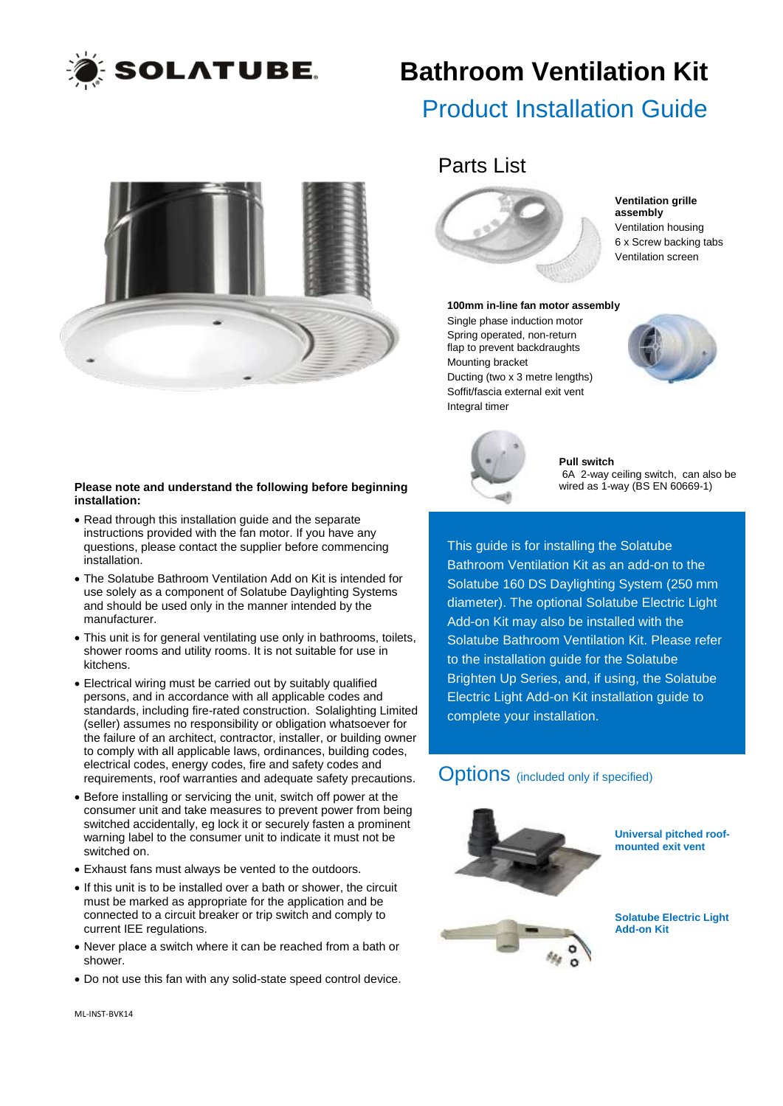

## **Bathroom Ventilation Kit**

## Product Installation Guide



#### **Please note and understand the following before beginning installation:**

- Read through this installation guide and the separate instructions provided with the fan motor. If you have any questions, please contact the supplier before commencing installation.
- The Solatube Bathroom Ventilation Add on Kit is intended for use solely as a component of Solatube Daylighting Systems and should be used only in the manner intended by the manufacturer.
- This unit is for general ventilating use only in bathrooms, toilets, shower rooms and utility rooms. It is not suitable for use in kitchens.
- Electrical wiring must be carried out by suitably qualified persons, and in accordance with all applicable codes and standards, including fire-rated construction. Solalighting Limited (seller) assumes no responsibility or obligation whatsoever for the failure of an architect, contractor, installer, or building owner to comply with all applicable laws, ordinances, building codes, electrical codes, energy codes, fire and safety codes and requirements, roof warranties and adequate safety precautions.
- Before installing or servicing the unit, switch off power at the consumer unit and take measures to prevent power from being switched accidentally, eg lock it or securely fasten a prominent warning label to the consumer unit to indicate it must not be switched on.
- Exhaust fans must always be vented to the outdoors.
- If this unit is to be installed over a bath or shower, the circuit must be marked as appropriate for the application and be connected to a circuit breaker or trip switch and comply to current IEE regulations.
- Never place a switch where it can be reached from a bath or shower.
- Do not use this fan with any solid-state speed control device.

## Parts List



#### **Ventilation grille assembly** Ventilation housing 6 x Screw backing tabs Ventilation screen

#### **100mm in-line fan motor assembly**

Single phase induction motor Spring operated, non-return flap to prevent backdraughts Mounting bracket Ducting (two x 3 metre lengths) Soffit/fascia external exit vent Integral timer





**Pull switch** 6A 2-way ceiling switch, can also be wired as 1-way (BS EN 60669-1)

This guide is for installing the Solatube Bathroom Ventilation Kit as an add-on to the Solatube 160 DS Daylighting System (250 mm diameter). The optional Solatube Electric Light Add-on Kit may also be installed with the Solatube Bathroom Ventilation Kit. Please refer to the installation guide for the Solatube Brighten Up Series, and, if using, the Solatube Electric Light Add-on Kit installation guide to complete your installation.

### **Options** (included only if specified)



**Universal pitched roofmounted exit vent**

**Solatube Electric Light Add-on Kit**

ML-INST-BVK14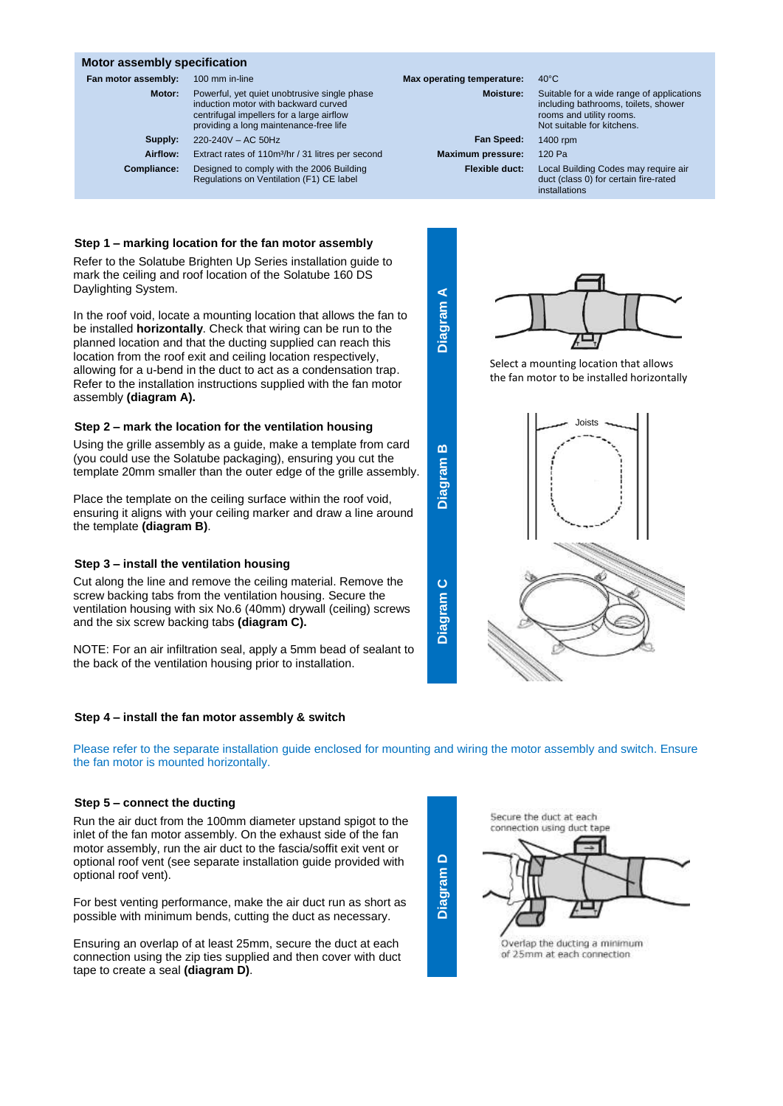#### **Motor assembly specification**

| Fan motor assembly: | 100 mm in-line                                                                                                                                                              | Max operating temperature: | $40^{\circ}$ C                                    |
|---------------------|-----------------------------------------------------------------------------------------------------------------------------------------------------------------------------|----------------------------|---------------------------------------------------|
| Motor:              | Powerful, yet quiet unobtrusive single phase<br>induction motor with backward curved<br>centrifugal impellers for a large airflow<br>providing a long maintenance-free life | <b>Moisture:</b>           | Suitable f<br>including<br>rooms an<br>Not suital |
| Supply:             | 220-240V - AC 50Hz                                                                                                                                                          | Fan Speed:                 | 1400 rpm                                          |
| Airflow:            | Extract rates of 110m <sup>3</sup> /hr / 31 litres per second                                                                                                               | <b>Maximum pressure:</b>   | 120 Pa                                            |
| Compliance:         | Designed to comply with the 2006 Building<br>Regulations on Ventilation (F1) CE label                                                                                       | Flexible duct:             | Local Bui<br>duct (clas                           |

#### **Step 1 – marking location for the fan motor assembly**

Refer to the Solatube Brighten Up Series installation guide to mark the ceiling and roof location of the Solatube 160 DS Daylighting System.

In the roof void, locate a mounting location that allows the fan to be installed **horizontally**. Check that wiring can be run to the planned location and that the ducting supplied can reach this location from the roof exit and ceiling location respectively, allowing for a u-bend in the duct to act as a condensation trap. Refer to the installation instructions supplied with the fan motor assembly **(diagram A).**

#### **Step 2 – mark the location for the ventilation housing**

Using the grille assembly as a guide, make a template from card (you could use the Solatube packaging), ensuring you cut the template 20mm smaller than the outer edge of the grille assembly.

Place the template on the ceiling surface within the roof void, ensuring it aligns with your ceiling marker and draw a line around the template **(diagram B)**.

#### **Step 3 – install the ventilation housing**

Cut along the line and remove the ceiling material. Remove the screw backing tabs from the ventilation housing. Secure the ventilation housing with six No.6 (40mm) drywall (ceiling) screws and the six screw backing tabs **(diagram C).**

NOTE: For an air infiltration seal, apply a 5mm bead of sealant to the back of the ventilation housing prior to installation.

#### **Step 4 – install the fan motor assembly & switch**

Please refer to the separate installation guide enclosed for mounting and wiring the motor assembly and switch. Ensure the fan motor is mounted horizontally.

#### **Step 5 – connect the ducting**

Run the air duct from the 100mm diameter upstand spigot to the inlet of the fan motor assembly. On the exhaust side of the fan motor assembly, run the air duct to the fascia/soffit exit vent or optional roof vent (see separate installation guide provided with optional roof vent).

For best venting performance, make the air duct run as short as possible with minimum bends, cutting the duct as necessary.

Ensuring an overlap of at least 25mm, secure the duct at each connection using the zip ties supplied and then cover with duct tape to create a seal **(diagram D)**.

# Secure the duct at each connection using duct tape Overlap the ducting a minimum of 25mm at each connection



Not suitable for kitchens. **Maximum pressure:** 120 Pa **Flexible duct:** Local Building Codes may require air

duct (class 0) for certain fire-rated installations



**Diagram A**

**Diagram** 

**Diagram** 

**Diagram** 

**D**

**C**

**B**